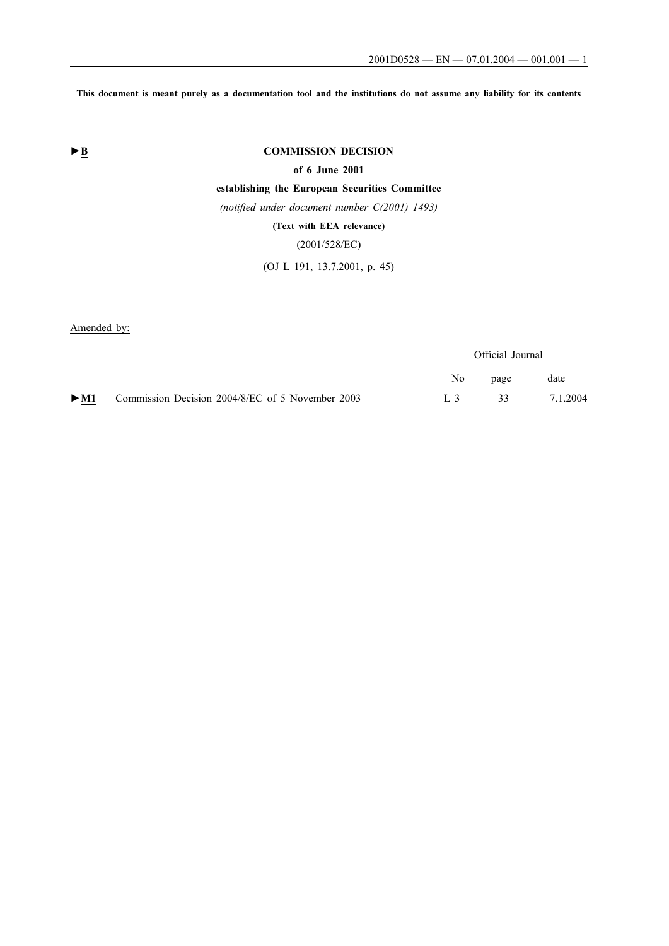**This document is meant purely as a documentation tool and the institutions do not assume any liability for its contents**

# **►B COMMISSION DECISION**

**of 6 June 2001**

# **establishing the European Securities Committee**

*(notified under document number C(2001) 1493)*

**(Text with EEA relevance)**

(2001/528/EC)

(OJ L 191, 13.7.2001, p. 45)

Amended by:

Official Journal

|                                                                      | No page | date            |
|----------------------------------------------------------------------|---------|-----------------|
| $\triangleright$ M1 Commission Decision 2004/8/EC of 5 November 2003 |         | L 3 33 7.1.2004 |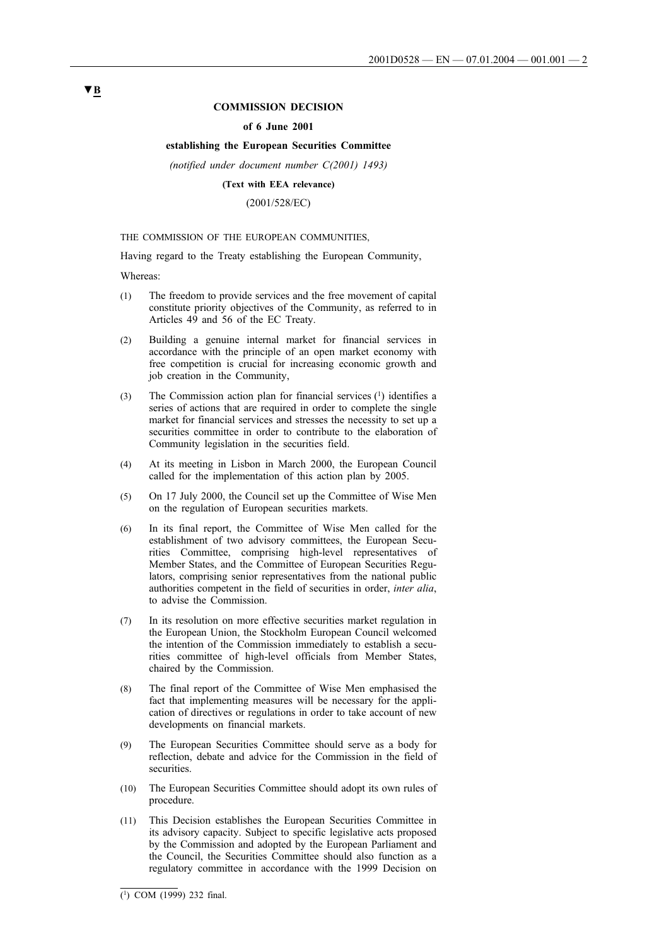## **COMMISSION DECISION**

## **of 6 June 2001**

## **establishing the European Securities Committee**

*(notified under document number C(2001) 1493)*

### **(Text with EEA relevance)**

(2001/528/EC)

#### THE COMMISSION OF THE EUROPEAN COMMUNITIES,

Having regard to the Treaty establishing the European Community,

Whereas:

- (1) The freedom to provide services and the free movement of capital constitute priority objectives of the Community, as referred to in Articles 49 and 56 of the EC Treaty.
- (2) Building a genuine internal market for financial services in accordance with the principle of an open market economy with free competition is crucial for increasing economic growth and job creation in the Community,
- (3) The Commission action plan for financial services (1) identifies a series of actions that are required in order to complete the single market for financial services and stresses the necessity to set up a securities committee in order to contribute to the elaboration of Community legislation in the securities field.
- (4) At its meeting in Lisbon in March 2000, the European Council called for the implementation of this action plan by 2005.
- (5) On 17 July 2000, the Council set up the Committee of Wise Men on the regulation of European securities markets.
- (6) In its final report, the Committee of Wise Men called for the establishment of two advisory committees, the European Securities Committee, comprising high-level representatives of Member States, and the Committee of European Securities Regulators, comprising senior representatives from the national public authorities competent in the field of securities in order, *inter alia*, to advise the Commission.
- (7) In its resolution on more effective securities market regulation in the European Union, the Stockholm European Council welcomed the intention of the Commission immediately to establish a securities committee of high-level officials from Member States, chaired by the Commission.
- (8) The final report of the Committee of Wise Men emphasised the fact that implementing measures will be necessary for the application of directives or regulations in order to take account of new developments on financial markets.
- (9) The European Securities Committee should serve as a body for reflection, debate and advice for the Commission in the field of securities.
- (10) The European Securities Committee should adopt its own rules of procedure.
- (11) This Decision establishes the European Securities Committee in its advisory capacity. Subject to specific legislative acts proposed by the Commission and adopted by the European Parliament and the Council, the Securities Committee should also function as a regulatory committee in accordance with the 1999 Decision on

## **▼B**